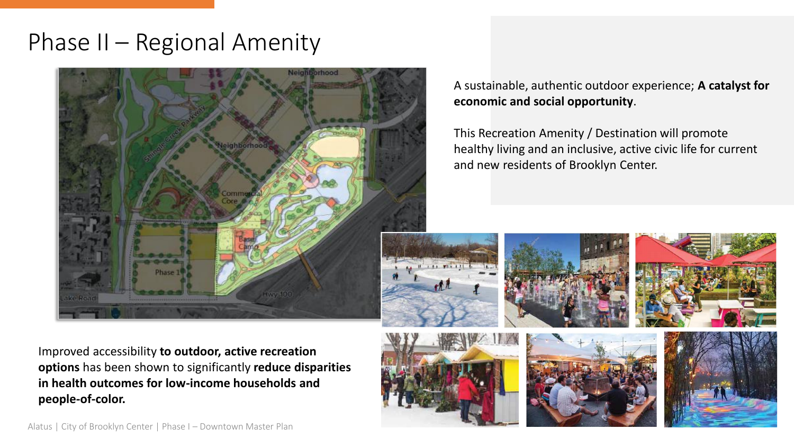### Phase II – Regional Amenity



A sustainable, authentic outdoor experience; **A catalyst for economic and social opportunity**.

This Recreation Amenity / Destination will promote healthy living and an inclusive, active civic life for current and new residents of Brooklyn Center.



Improved accessibility **to outdoor, active recreation options** has been shown to significantly **reduce disparities in health outcomes for low-income households and people-of-color.** 





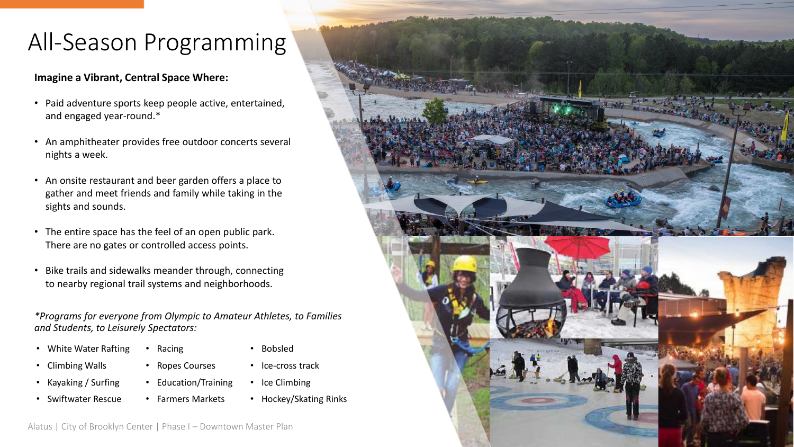# All-Season Programming

#### **Imagine a Vibrant, Central Space Where:**

- Paid adventure sports keep people active, entertained, and engaged year-round.\*
- An amphitheater provides free outdoor concerts several nights a week.
- An onsite restaurant and beer garden offers a place to gather and meet friends and family while taking in the sights and sounds.
- The entire space has the feel of an open public park. There are no gates or controlled access points.
- Bike trails and sidewalks meander through, connecting to nearby regional trail systems and neighborhoods.

*\*Programs for everyone from Olympic to Amateur Athletes, to Families and Students, to Leisurely Spectators:*

- White Water Rafting • Racing
- 
- Climbing Walls
- Kayaking / Surfing
- Swiftwater Rescue
- Bobsled • Ropes Courses
	- Ice-cross track
- Ice Climbing • Education/Training
- Farmers Markets
- Hockey/Skating Rinks

Alatus | City of Brooklyn Center | Phase I – Downtown Master Plan